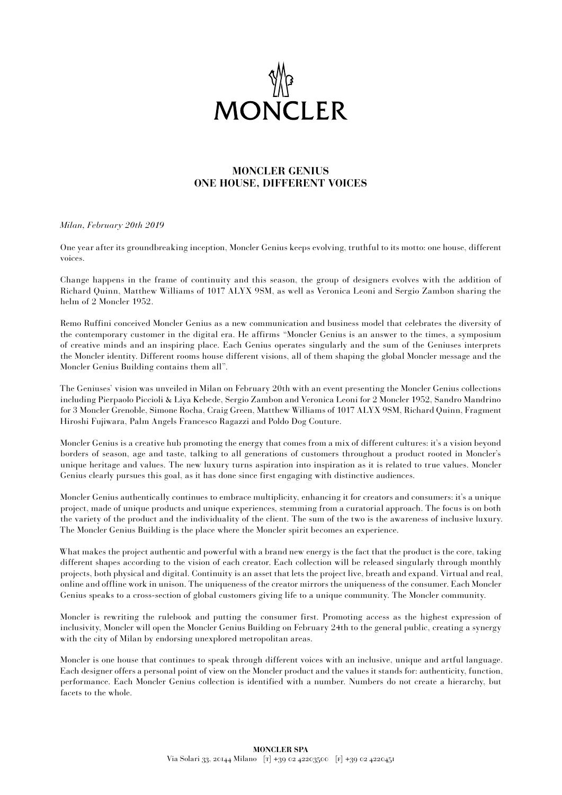

# **MONCLER GENIUS ONE HOUSE, DIFFERENT VOICES**

#### *Milan, February 20th 2019*

One year after its groundbreaking inception, Moncler Genius keeps evolving, truthful to its motto: one house, different voices.

Change happens in the frame of continuity and this season, the group of designers evolves with the addition of Richard Quinn, Matthew Williams of 1017 ALYX 9SM, as well as Veronica Leoni and Sergio Zambon sharing the helm of 2 Moncler 1952.

Remo Ruffini conceived Moncler Genius as a new communication and business model that celebrates the diversity of the contemporary customer in the digital era. He affirms "Moncler Genius is an answer to the times, a symposium of creative minds and an inspiring place. Each Genius operates singularly and the sum of the Geniuses interprets the Moncler identity. Different rooms house different visions, all of them shaping the global Moncler message and the Moncler Genius Building contains them all".

The Geniuses' vision was unveiled in Milan on February 20th with an event presenting the Moncler Genius collections including Pierpaolo Piccioli & Liya Kebede, Sergio Zambon and Veronica Leoni for 2 Moncler 1952, Sandro Mandrino for 3 Moncler Grenoble, Simone Rocha, Craig Green, Matthew Williams of 1017 ALYX 9SM, Richard Quinn, Fragment Hiroshi Fujiwara, Palm Angels Francesco Ragazzi and Poldo Dog Couture.

Moncler Genius is a creative hub promoting the energy that comes from a mix of different cultures: it's a vision beyond borders of season, age and taste, talking to all generations of customers throughout a product rooted in Moncler's unique heritage and values. The new luxury turns aspiration into inspiration as it is related to true values. Moncler Genius clearly pursues this goal, as it has done since first engaging with distinctive audiences.

Moncler Genius authentically continues to embrace multiplicity, enhancing it for creators and consumers: it's a unique project, made of unique products and unique experiences, stemming from a curatorial approach. The focus is on both the variety of the product and the individuality of the client. The sum of the two is the awareness of inclusive luxury. The Moncler Genius Building is the place where the Moncler spirit becomes an experience.

What makes the project authentic and powerful with a brand new energy is the fact that the product is the core, taking different shapes according to the vision of each creator. Each collection will be released singularly through monthly projects, both physical and digital. Continuity is an asset that lets the project live, breath and expand. Virtual and real, online and offline work in unison. The uniqueness of the creator mirrors the uniqueness of the consumer. Each Moncler Genius speaks to a cross-section of global customers giving life to a unique community. The Moncler community.

Moncler is rewriting the rulebook and putting the consumer first. Promoting access as the highest expression of inclusivity, Moncler will open the Moncler Genius Building on February 24th to the general public, creating a synergy with the city of Milan by endorsing unexplored metropolitan areas.

Moncler is one house that continues to speak through different voices with an inclusive, unique and artful language. Each designer offers a personal point of view on the Moncler product and the values it stands for: authenticity, function, performance. Each Moncler Genius collection is identified with a number. Numbers do not create a hierarchy, but facets to the whole.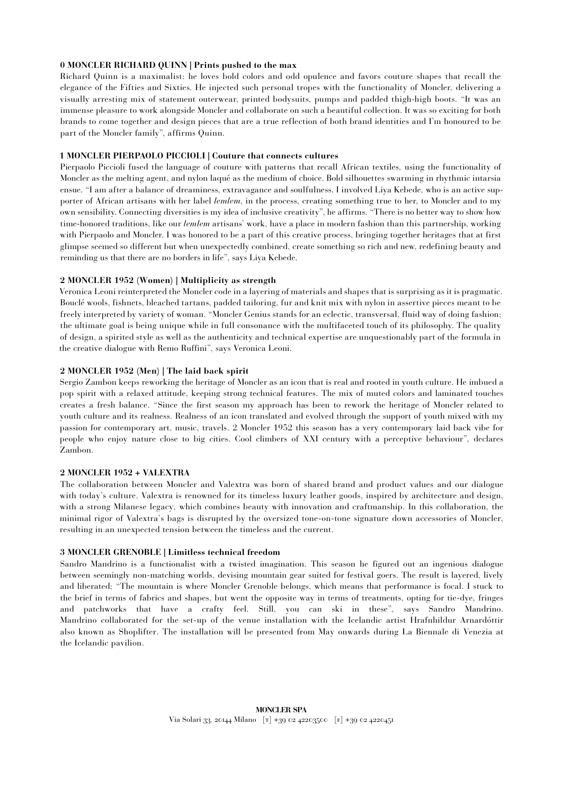# **0 MONCLER RICHARD QUINN | Prints pushed to the max**

Richard Quinn is a maximalist: he loves bold colors and odd opulence and favors couture shapes that recall the elegance of the Fifties and Sixties. He injected such personal tropes with the functionality of Moncler, delivering a visually arresting mix of statement outerwear, printed bodysuits, pumps and padded thigh-high boots. "It was an immense pleasure to work alongside Moncler and collaborate on such a beautiful collection. It was so exciting for both brands to come together and design pieces that are a true reflection of both brand identities and I'm honoured to be part of the Moncler family", affirms Quinn.

# **1 MONCLER PIERPAOLO PICCIOLI | Couture that connects cultures**

Pierpaolo Piccioli fused the language of couture with patterns that recall African textiles, using the functionality of Moncler as the melting agent, and nylon laqué as the medium of choice. Bold silhouettes swarming in rhythmic intarsia ensue. "I am after a balance of dreaminess, extravagance and soulfulness. I involved Liya Kebede, who is an active supporter of African artisans with her label *lemlem*, in the process, creating something true to her, to Moncler and to my own sensibility. Connecting diversities is my idea of inclusive creativity", he affirms. "There is no better way to show how time-honored traditions, like our *lemlem* artisans' work, have a place in modern fashion than this partnership, working with Pierpaolo and Moncler. I was honored to be a part of this creative process, bringing together heritages that at first glimpse seemed so different but when unexpectedly combined, create something so rich and new, redefining beauty and reminding us that there are no borders in life", says Liya Kebede.

# **2 MONCLER 1952 (Women) | Multiplicity as strength**

Veronica Leoni reinterpreted the Moncler code in a layering of materials and shapes that is surprising as it is pragmatic. Bouclé wools, fishnets, bleached tartans, padded tailoring, fur and knit mix with nylon in assertive pieces meant to be freely interpreted by variety of woman. "Moncler Genius stands for an eclectic, transversal, fluid way of doing fashion; the ultimate goal is being unique while in full consonance with the multifaceted touch of its philosophy. The quality of design, a spirited style as well as the authenticity and technical expertise are unquestionably part of the formula in the creative dialogue with Remo Ruffini", says Veronica Leoni.

# **2 MONCLER 1952 (Men) | The laid back spirit**

Sergio Zambon keeps reworking the heritage of Moncler as an icon that is real and rooted in youth culture. He imbued a pop spirit with a relaxed attitude, keeping strong technical features. The mix of muted colors and laminated touches creates a fresh balance. "Since the first season my approach has been to rework the heritage of Moncler related to youth culture and its realness. Realness of an icon translated and evolved through the support of youth mixed with my passion for contemporary art, music, travels. 2 Moncler 1952 this season has a very contemporary laid back vibe for people who enjoy nature close to big cities. Cool climbers of XXI century with a perceptive behaviour", declares Zambon.

## **2 MONCLER 1952 + VALEXTRA**

The collaboration between Moncler and Valextra was born of shared brand and product values and our dialogue with today's culture. Valextra is renowned for its timeless luxury leather goods, inspired by architecture and design, with a strong Milanese legacy, which combines beauty with innovation and craftmanship. In this collaboration, the minimal rigor of Valextra's bags is disrupted by the oversized tone-on-tone signature down accessories of Moncler, resulting in an unexpected tension between the timeless and the current.

## **3 MONCLER GRENOBLE | Limitless technical freedom**

Sandro Mandrino is a functionalist with a twisted imagination. This season he figured out an ingenious dialogue between seemingly non-matching worlds, devising mountain gear suited for festival goers. The result is layered, lively and liberated; "The mountain is where Moncler Grenoble belongs, which means that performance is focal. I stuck to the brief in terms of fabrics and shapes, but went the opposite way in terms of treatments, opting for tie-dye, fringes and patchworks that have a crafty feel. Still, you can ski in these", says Sandro Mandrino. Mandrino collaborated for the set-up of the venue installation with the Icelandic artist Hrafnhildur Arnardóttir also known as Shoplifter. The installation will be presented from May onwards during La Biennale di Venezia at the Icelandic pavilion.